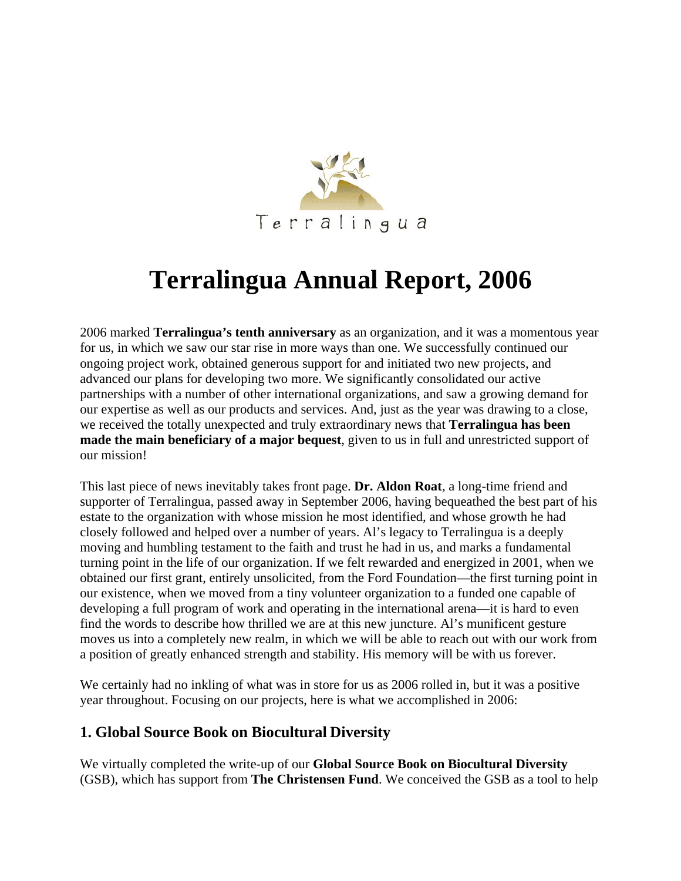

# **Terralingua Annual Report, 2006**

2006 marked **Terralingua's tenth anniversary** as an organization, and it was a momentous year for us, in which we saw our star rise in more ways than one. We successfully continued our ongoing project work, obtained generous support for and initiated two new projects, and advanced our plans for developing two more. We significantly consolidated our active partnerships with a number of other international organizations, and saw a growing demand for our expertise as well as our products and services. And, just as the year was drawing to a close, we received the totally unexpected and truly extraordinary news that **Terralingua has been made the main beneficiary of a major bequest**, given to us in full and unrestricted support of our mission!

This last piece of news inevitably takes front page. **Dr. Aldon Roat**, a long-time friend and supporter of Terralingua, passed away in September 2006, having bequeathed the best part of his estate to the organization with whose mission he most identified, and whose growth he had closely followed and helped over a number of years. Al's legacy to Terralingua is a deeply moving and humbling testament to the faith and trust he had in us, and marks a fundamental turning point in the life of our organization. If we felt rewarded and energized in 2001, when we obtained our first grant, entirely unsolicited, from the Ford Foundation—the first turning point in our existence, when we moved from a tiny volunteer organization to a funded one capable of developing a full program of work and operating in the international arena—it is hard to even find the words to describe how thrilled we are at this new juncture. Al's munificent gesture moves us into a completely new realm, in which we will be able to reach out with our work from a position of greatly enhanced strength and stability. His memory will be with us forever.

We certainly had no inkling of what was in store for us as 2006 rolled in, but it was a positive year throughout. Focusing on our projects, here is what we accomplished in 2006:

### **1. Global Source Book on Biocultural Diversity**

We virtually completed the write-up of our **Global Source Book on Biocultural Diversity** (GSB), which has support from **The Christensen Fund**. We conceived the GSB as a tool to help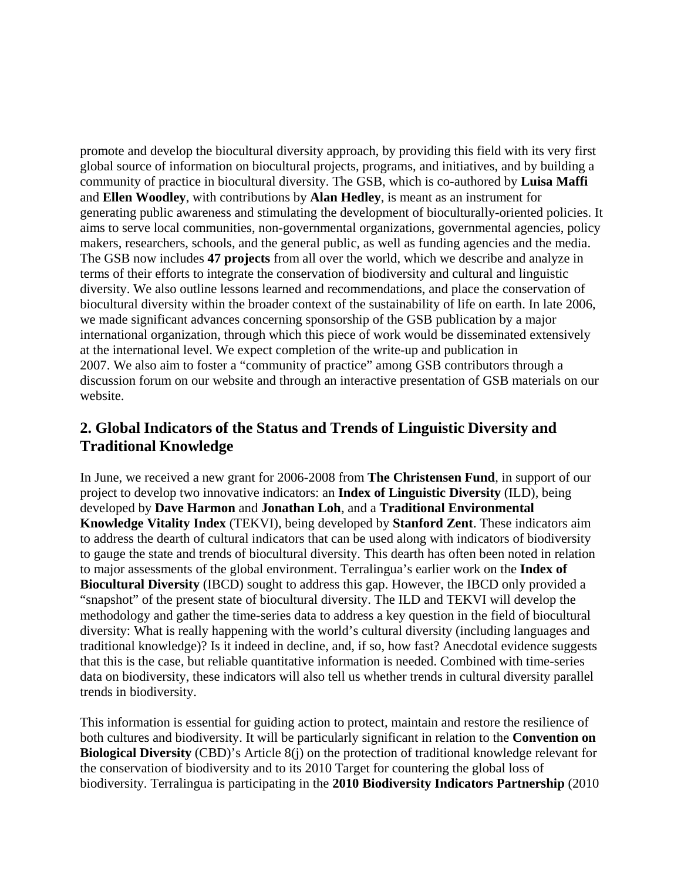promote and develop the biocultural diversity approach, by providing this field with its very first global source of information on biocultural projects, programs, and initiatives, and by building a community of practice in biocultural diversity. The GSB, which is co-authored by **Luisa Maffi**  and **Ellen Woodley**, with contributions by **Alan Hedley**, is meant as an instrument for generating public awareness and stimulating the development of bioculturally-oriented policies. It aims to serve local communities, non-governmental organizations, governmental agencies, policy makers, researchers, schools, and the general public, as well as funding agencies and the media. The GSB now includes **47 projects** from all over the world, which we describe and analyze in terms of their efforts to integrate the conservation of biodiversity and cultural and linguistic diversity. We also outline lessons learned and recommendations, and place the conservation of biocultural diversity within the broader context of the sustainability of life on earth. In late 2006, we made significant advances concerning sponsorship of the GSB publication by a major international organization, through which this piece of work would be disseminated extensively at the international level. We expect completion of the write-up and publication in 2007. We also aim to foster a "community of practice" among GSB contributors through a discussion forum on our website and through an interactive presentation of GSB materials on our website.

### **2. Global Indicators of the Status and Trends of Linguistic Diversity and Traditional Knowledge**

In June, we received a new grant for 2006-2008 from **The Christensen Fund**, in support of our project to develop two innovative indicators: an **Index of Linguistic Diversity** (ILD), being developed by **Dave Harmon** and **Jonathan Loh**, and a **Traditional Environmental Knowledge Vitality Index** (TEKVI), being developed by **Stanford Zent**. These indicators aim to address the dearth of cultural indicators that can be used along with indicators of biodiversity to gauge the state and trends of biocultural diversity. This dearth has often been noted in relation to major assessments of the global environment. Terralingua's earlier work on the **Index of Biocultural Diversity** (IBCD) sought to address this gap. However, the IBCD only provided a "snapshot" of the present state of biocultural diversity. The ILD and TEKVI will develop the methodology and gather the time-series data to address a key question in the field of biocultural diversity: What is really happening with the world's cultural diversity (including languages and traditional knowledge)? Is it indeed in decline, and, if so, how fast? Anecdotal evidence suggests that this is the case, but reliable quantitative information is needed. Combined with time-series data on biodiversity, these indicators will also tell us whether trends in cultural diversity parallel trends in biodiversity.

This information is essential for guiding action to protect, maintain and restore the resilience of both cultures and biodiversity. It will be particularly significant in relation to the **Convention on Biological Diversity** (CBD)'s Article 8(j) on the protection of traditional knowledge relevant for the conservation of biodiversity and to its 2010 Target for countering the global loss of biodiversity. Terralingua is participating in the **2010 Biodiversity Indicators Partnership** (2010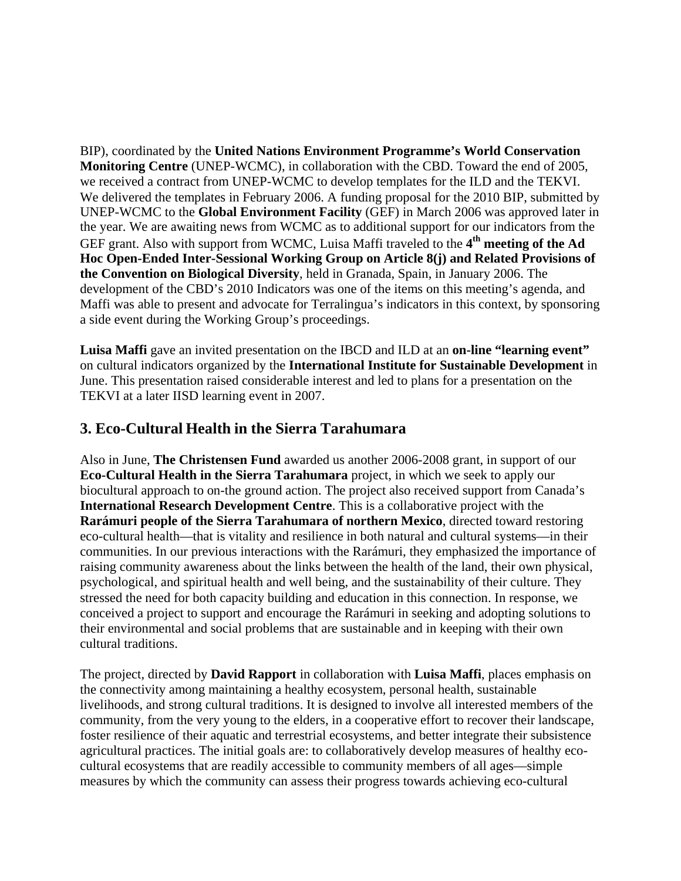BIP), coordinated by the **United Nations Environment Programme's World Conservation Monitoring Centre** (UNEP-WCMC), in collaboration with the CBD. Toward the end of 2005, we received a contract from UNEP-WCMC to develop templates for the ILD and the TEKVI. We delivered the templates in February 2006. A funding proposal for the 2010 BIP, submitted by UNEP-WCMC to the **Global Environment Facility** (GEF) in March 2006 was approved later in the year. We are awaiting news from WCMC as to additional support for our indicators from the GEF grant. Also with support from WCMC, Luisa Maffi traveled to the **4th meeting of the Ad Hoc Open-Ended Inter-Sessional Working Group on Article 8(j) and Related Provisions of the Convention on Biological Diversity**, held in Granada, Spain, in January 2006. The development of the CBD's 2010 Indicators was one of the items on this meeting's agenda, and Maffi was able to present and advocate for Terralingua's indicators in this context, by sponsoring a side event during the Working Group's proceedings.

**Luisa Maffi** gave an invited presentation on the IBCD and ILD at an **on-line "learning event"**  on cultural indicators organized by the **International Institute for Sustainable Development** in June. This presentation raised considerable interest and led to plans for a presentation on the TEKVI at a later IISD learning event in 2007.

### **3. Eco-Cultural Health in the Sierra Tarahumara**

Also in June, **The Christensen Fund** awarded us another 2006-2008 grant, in support of our **Eco-Cultural Health in the Sierra Tarahumara** project, in which we seek to apply our biocultural approach to on-the ground action. The project also received support from Canada's **International Research Development Centre**. This is a collaborative project with the **Rarámuri people of the Sierra Tarahumara of northern Mexico**, directed toward restoring eco-cultural health—that is vitality and resilience in both natural and cultural systems—in their communities. In our previous interactions with the Rarámuri, they emphasized the importance of raising community awareness about the links between the health of the land, their own physical, psychological, and spiritual health and well being, and the sustainability of their culture. They stressed the need for both capacity building and education in this connection. In response, we conceived a project to support and encourage the Rarámuri in seeking and adopting solutions to their environmental and social problems that are sustainable and in keeping with their own cultural traditions.

The project, directed by **David Rapport** in collaboration with **Luisa Maffi**, places emphasis on the connectivity among maintaining a healthy ecosystem, personal health, sustainable livelihoods, and strong cultural traditions. It is designed to involve all interested members of the community, from the very young to the elders, in a cooperative effort to recover their landscape, foster resilience of their aquatic and terrestrial ecosystems, and better integrate their subsistence agricultural practices. The initial goals are: to collaboratively develop measures of healthy ecocultural ecosystems that are readily accessible to community members of all ages—simple measures by which the community can assess their progress towards achieving eco-cultural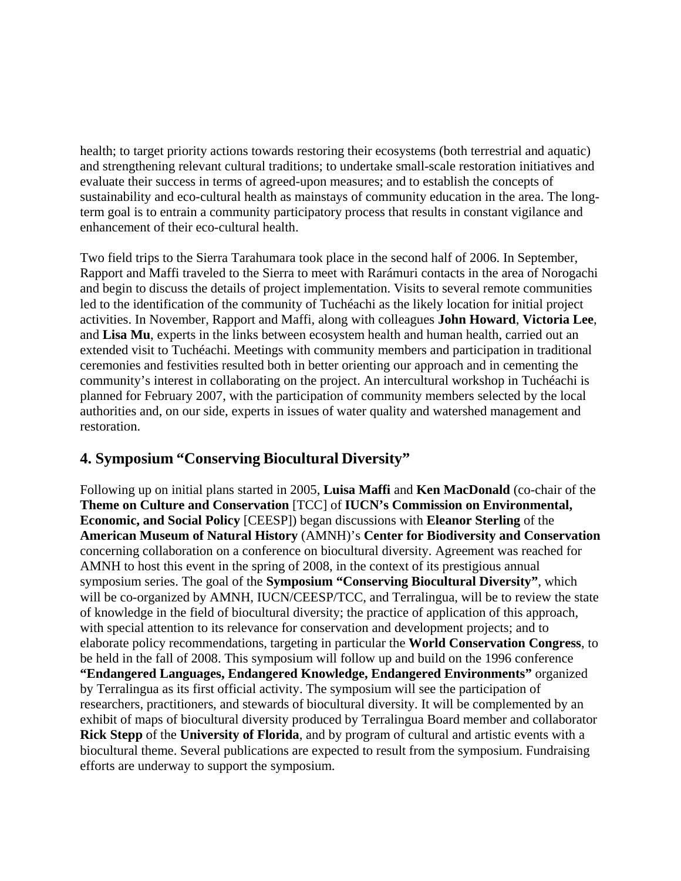health; to target priority actions towards restoring their ecosystems (both terrestrial and aquatic) and strengthening relevant cultural traditions; to undertake small-scale restoration initiatives and evaluate their success in terms of agreed-upon measures; and to establish the concepts of sustainability and eco-cultural health as mainstays of community education in the area. The longterm goal is to entrain a community participatory process that results in constant vigilance and enhancement of their eco-cultural health.

Two field trips to the Sierra Tarahumara took place in the second half of 2006. In September, Rapport and Maffi traveled to the Sierra to meet with Rarámuri contacts in the area of Norogachi and begin to discuss the details of project implementation. Visits to several remote communities led to the identification of the community of Tuchéachi as the likely location for initial project activities. In November, Rapport and Maffi, along with colleagues **John Howard**, **Victoria Lee**, and **Lisa Mu**, experts in the links between ecosystem health and human health, carried out an extended visit to Tuchéachi. Meetings with community members and participation in traditional ceremonies and festivities resulted both in better orienting our approach and in cementing the community's interest in collaborating on the project. An intercultural workshop in Tuchéachi is planned for February 2007, with the participation of community members selected by the local authorities and, on our side, experts in issues of water quality and watershed management and restoration.

### **4. Symposium "Conserving Biocultural Diversity"**

Following up on initial plans started in 2005, **Luisa Maffi** and **Ken MacDonald** (co-chair of the **Theme on Culture and Conservation** [TCC] of **IUCN's Commission on Environmental, Economic, and Social Policy** [CEESP]) began discussions with **Eleanor Sterling** of the **American Museum of Natural History** (AMNH)'s **Center for Biodiversity and Conservation**  concerning collaboration on a conference on biocultural diversity. Agreement was reached for AMNH to host this event in the spring of 2008, in the context of its prestigious annual symposium series. The goal of the **Symposium "Conserving Biocultural Diversity"**, which will be co-organized by AMNH, IUCN/CEESP/TCC, and Terralingua, will be to review the state of knowledge in the field of biocultural diversity; the practice of application of this approach, with special attention to its relevance for conservation and development projects; and to elaborate policy recommendations, targeting in particular the **World Conservation Congress**, to be held in the fall of 2008. This symposium will follow up and build on the 1996 conference **"Endangered Languages, Endangered Knowledge, Endangered Environments"** organized by Terralingua as its first official activity. The symposium will see the participation of researchers, practitioners, and stewards of biocultural diversity. It will be complemented by an exhibit of maps of biocultural diversity produced by Terralingua Board member and collaborator **Rick Stepp** of the **University of Florida**, and by program of cultural and artistic events with a biocultural theme. Several publications are expected to result from the symposium. Fundraising efforts are underway to support the symposium.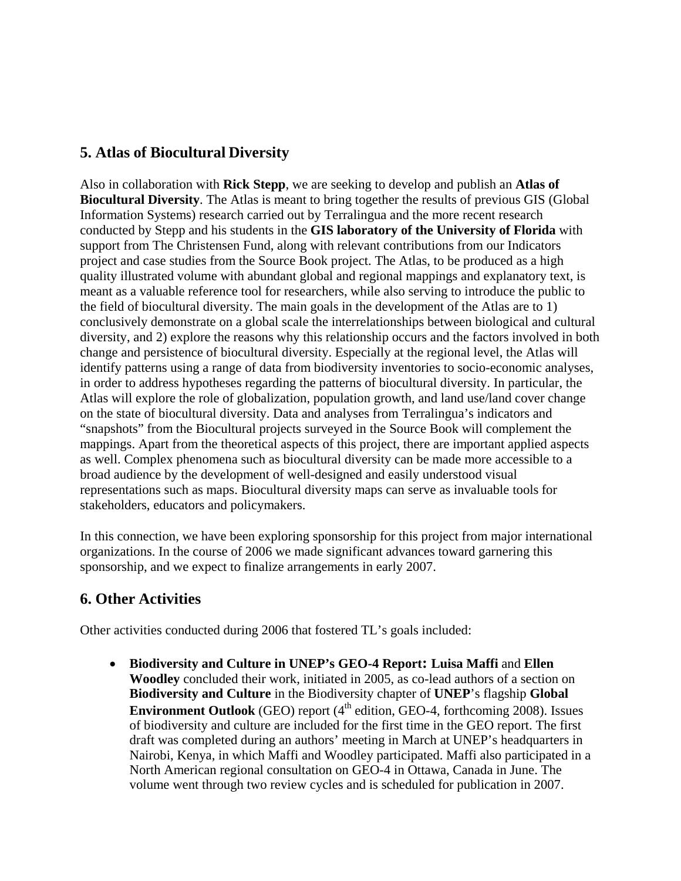## **5. Atlas of Biocultural Diversity**

Also in collaboration with **Rick Stepp**, we are seeking to develop and publish an **Atlas of Biocultural Diversity**. The Atlas is meant to bring together the results of previous GIS (Global Information Systems) research carried out by Terralingua and the more recent research conducted by Stepp and his students in the **GIS laboratory of the University of Florida** with support from The Christensen Fund, along with relevant contributions from our Indicators project and case studies from the Source Book project. The Atlas, to be produced as a high quality illustrated volume with abundant global and regional mappings and explanatory text, is meant as a valuable reference tool for researchers, while also serving to introduce the public to the field of biocultural diversity. The main goals in the development of the Atlas are to 1) conclusively demonstrate on a global scale the interrelationships between biological and cultural diversity, and 2) explore the reasons why this relationship occurs and the factors involved in both change and persistence of biocultural diversity. Especially at the regional level, the Atlas will identify patterns using a range of data from biodiversity inventories to socio-economic analyses, in order to address hypotheses regarding the patterns of biocultural diversity. In particular, the Atlas will explore the role of globalization, population growth, and land use/land cover change on the state of biocultural diversity. Data and analyses from Terralingua's indicators and "snapshots" from the Biocultural projects surveyed in the Source Book will complement the mappings. Apart from the theoretical aspects of this project, there are important applied aspects as well. Complex phenomena such as biocultural diversity can be made more accessible to a broad audience by the development of well-designed and easily understood visual representations such as maps. Biocultural diversity maps can serve as invaluable tools for stakeholders, educators and policymakers.

In this connection, we have been exploring sponsorship for this project from major international organizations. In the course of 2006 we made significant advances toward garnering this sponsorship, and we expect to finalize arrangements in early 2007.

### **6. Other Activities**

Other activities conducted during 2006 that fostered TL's goals included:

• **Biodiversity and Culture in UNEP's GEO-4 Report: Luisa Maffi** and **Ellen Woodley** concluded their work, initiated in 2005, as co-lead authors of a section on **Biodiversity and Culture** in the Biodiversity chapter of **UNEP**'s flagship **Global Environment Outlook** (GEO) report (4<sup>th</sup> edition, GEO-4, forthcoming 2008). Issues of biodiversity and culture are included for the first time in the GEO report. The first draft was completed during an authors' meeting in March at UNEP's headquarters in Nairobi, Kenya, in which Maffi and Woodley participated. Maffi also participated in a North American regional consultation on GEO-4 in Ottawa, Canada in June. The volume went through two review cycles and is scheduled for publication in 2007.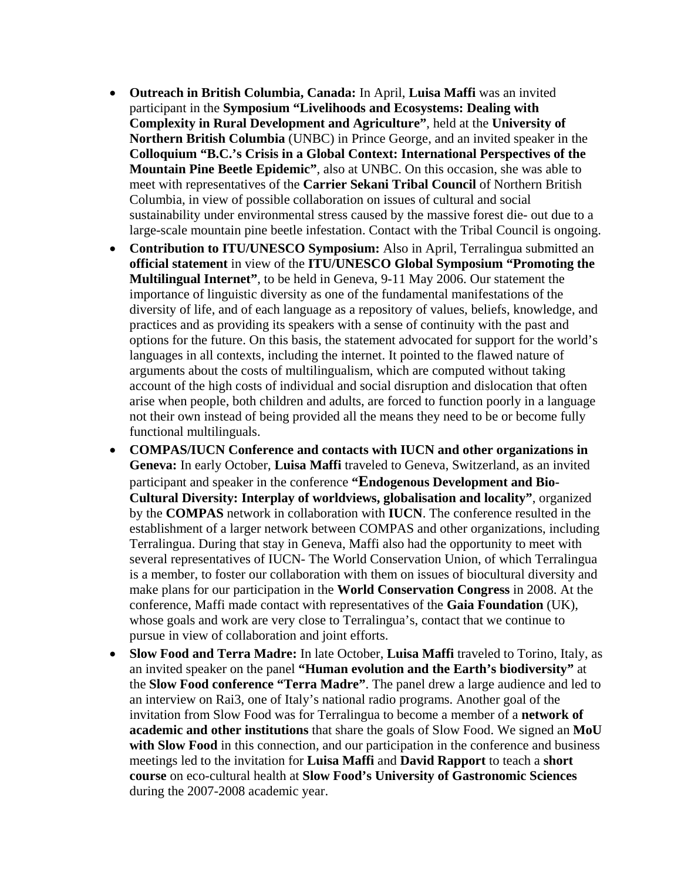- **Outreach in British Columbia, Canada:** In April, **Luisa Maffi** was an invited participant in the **Symposium "Livelihoods and Ecosystems: Dealing with Complexity in Rural Development and Agriculture"**, held at the **University of Northern British Columbia** (UNBC) in Prince George, and an invited speaker in the **Colloquium "B.C.'s Crisis in a Global Context: International Perspectives of the Mountain Pine Beetle Epidemic"**, also at UNBC. On this occasion, she was able to meet with representatives of the **Carrier Sekani Tribal Council** of Northern British Columbia, in view of possible collaboration on issues of cultural and social sustainability under environmental stress caused by the massive forest die- out due to a large-scale mountain pine beetle infestation. Contact with the Tribal Council is ongoing.
- **Contribution to ITU/UNESCO Symposium:** Also in April, Terralingua submitted an **official statement** in view of the **ITU/UNESCO Global Symposium "Promoting the Multilingual Internet"**, to be held in Geneva, 9-11 May 2006. Our statement the importance of linguistic diversity as one of the fundamental manifestations of the diversity of life, and of each language as a repository of values, beliefs, knowledge, and practices and as providing its speakers with a sense of continuity with the past and options for the future. On this basis, the statement advocated for support for the world's languages in all contexts, including the internet. It pointed to the flawed nature of arguments about the costs of multilingualism, which are computed without taking account of the high costs of individual and social disruption and dislocation that often arise when people, both children and adults, are forced to function poorly in a language not their own instead of being provided all the means they need to be or become fully functional multilinguals.
- **COMPAS/IUCN Conference and contacts with IUCN and other organizations in Geneva:** In early October, **Luisa Maffi** traveled to Geneva, Switzerland, as an invited participant and speaker in the conference **"Endogenous Development and Bio-Cultural Diversity: Interplay of worldviews, globalisation and locality"**, organized by the **COMPAS** network in collaboration with **IUCN**. The conference resulted in the establishment of a larger network between COMPAS and other organizations, including Terralingua. During that stay in Geneva, Maffi also had the opportunity to meet with several representatives of IUCN- The World Conservation Union, of which Terralingua is a member, to foster our collaboration with them on issues of biocultural diversity and make plans for our participation in the **World Conservation Congress** in 2008. At the conference, Maffi made contact with representatives of the **Gaia Foundation** (UK), whose goals and work are very close to Terralingua's, contact that we continue to pursue in view of collaboration and joint efforts.
- **Slow Food and Terra Madre:** In late October, **Luisa Maffi** traveled to Torino, Italy, as an invited speaker on the panel **"Human evolution and the Earth's biodiversity"** at the **Slow Food conference "Terra Madre"**. The panel drew a large audience and led to an interview on Rai3, one of Italy's national radio programs. Another goal of the invitation from Slow Food was for Terralingua to become a member of a **network of academic and other institutions** that share the goals of Slow Food. We signed an **MoU**  with Slow Food in this connection, and our participation in the conference and business meetings led to the invitation for **Luisa Maffi** and **David Rapport** to teach a **short course** on eco-cultural health at **Slow Food's University of Gastronomic Sciences** during the 2007-2008 academic year.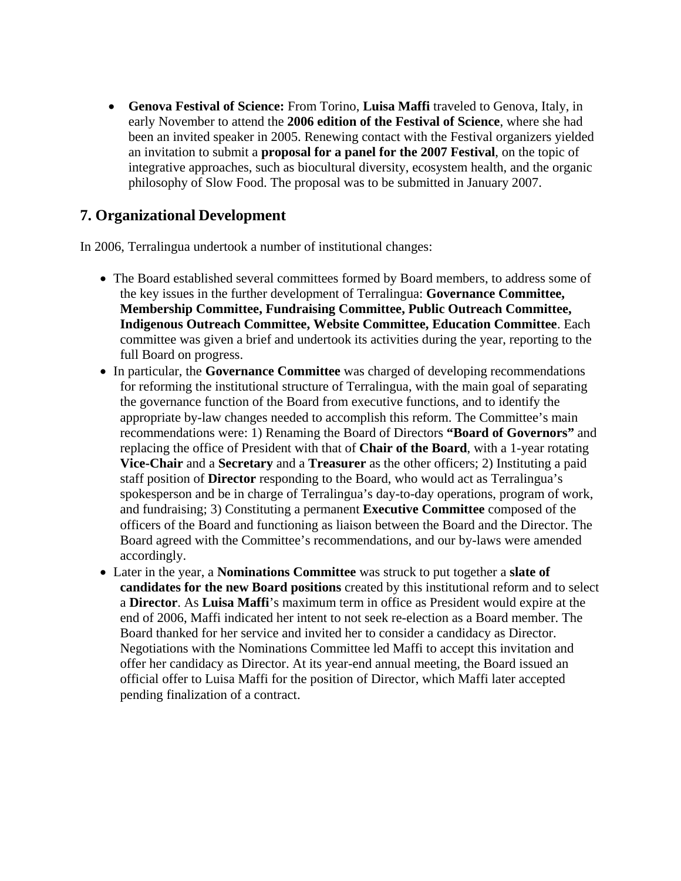• **Genova Festival of Science:** From Torino, **Luisa Maffi** traveled to Genova, Italy, in early November to attend the **2006 edition of the Festival of Science**, where she had been an invited speaker in 2005. Renewing contact with the Festival organizers yielded an invitation to submit a **proposal for a panel for the 2007 Festival**, on the topic of integrative approaches, such as biocultural diversity, ecosystem health, and the organic philosophy of Slow Food. The proposal was to be submitted in January 2007.

#### **7. Organizational Development**

In 2006, Terralingua undertook a number of institutional changes:

- The Board established several committees formed by Board members, to address some of the key issues in the further development of Terralingua: **Governance Committee, Membership Committee, Fundraising Committee, Public Outreach Committee, Indigenous Outreach Committee, Website Committee, Education Committee**. Each committee was given a brief and undertook its activities during the year, reporting to the full Board on progress.
- In particular, the **Governance Committee** was charged of developing recommendations for reforming the institutional structure of Terralingua, with the main goal of separating the governance function of the Board from executive functions, and to identify the appropriate by-law changes needed to accomplish this reform. The Committee's main recommendations were: 1) Renaming the Board of Directors **"Board of Governors"** and replacing the office of President with that of **Chair of the Board**, with a 1-year rotating **Vice-Chair** and a **Secretary** and a **Treasurer** as the other officers; 2) Instituting a paid staff position of **Director** responding to the Board, who would act as Terralingua's spokesperson and be in charge of Terralingua's day-to-day operations, program of work, and fundraising; 3) Constituting a permanent **Executive Committee** composed of the officers of the Board and functioning as liaison between the Board and the Director. The Board agreed with the Committee's recommendations, and our by-laws were amended accordingly.
- Later in the year, a **Nominations Committee** was struck to put together a **slate of candidates for the new Board positions** created by this institutional reform and to select a **Director**. As **Luisa Maffi**'s maximum term in office as President would expire at the end of 2006, Maffi indicated her intent to not seek re-election as a Board member. The Board thanked for her service and invited her to consider a candidacy as Director. Negotiations with the Nominations Committee led Maffi to accept this invitation and offer her candidacy as Director. At its year-end annual meeting, the Board issued an official offer to Luisa Maffi for the position of Director, which Maffi later accepted pending finalization of a contract.